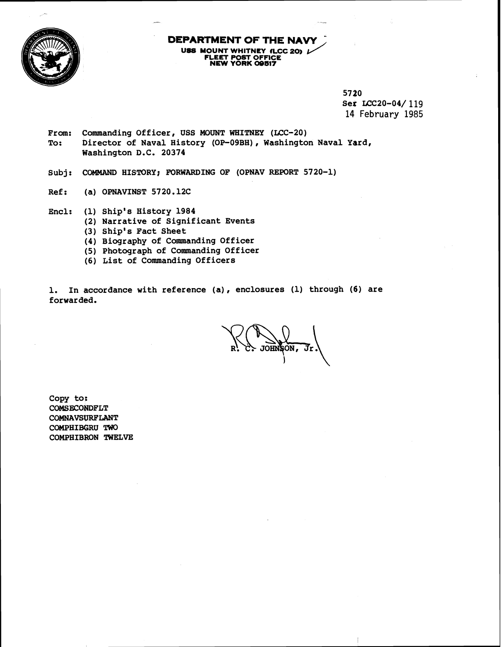

# **DEPARTMENT OF THE NAVY PARTMENT OF THE NAVY**<br> **USS MOUNT WHITNEY (LCC 20)**  $\frac{1}{\sqrt{2}}$ <br>
FLEET POST OFFICE<br>
NEW YORK 09517

**57 20 Set LCC20-04/119 14 February 1985** 

-ł

- From: Commanding Officer, USS MOUNT WHITNEY (LCC-20)<br>To: Director of Naval History (OP-09BH), Washingto **To: Director of Naval History (OP-09BH), Washington Naval Yard, Washington D.C. 20374**
- Subj: COMMAND HISTORY; FORWARDING OF (OPNAV REPORT 5720-1)
- **Ref: (a) OPNAVINST 5720.12C**
- **Encl: (1) Ship's History 1984** 
	- **(2) Narrative of Significant Events**
	- **(3) Ship's Fact Sheet**
	- **(4) Biography of Commanding Officer**
	- **(5) Photograph of Commanding Officer**
	- **(6) List of Commanding Officers**

**1. In accordance with reference (a), enclosures (1) through (6) are forwarded.** 

JOHNSON, Jr

Copy to: COMSECONDFLT **COMNAVSORPLANT COMPHIBGRU TWO COMPEIIBRON TWELVE**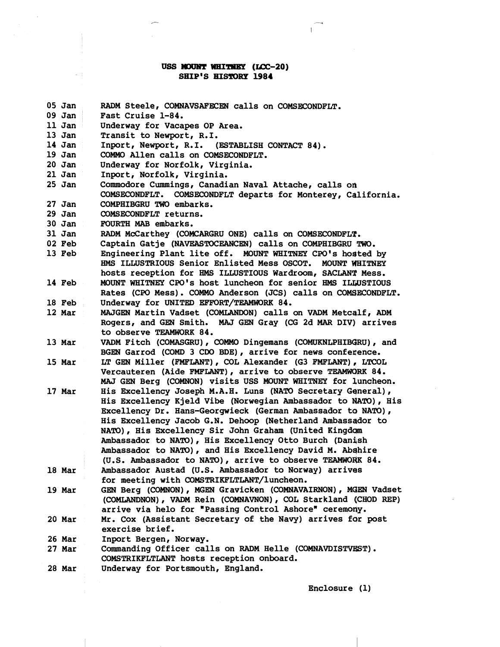## **USS MOUNT WHITNEY (LCC-20) SHIP'S EIS'11)RP 1984**

 $\mathbb{R}$ 

 $\mathcal{A}^{\mathcal{A}}$ 

 $\mathbb{R}^n$ 

 $\tilde{\mathcal{A}}$ 

| $09$ Jan<br>Fast Cruise 1-84.<br>11 Jan<br>Underway for Vacapes OP Area.<br>$13$ Jan<br>Transit to Newport, R.I.<br>14 Jan<br>Inport, Newport, R.I. (ESTABLISH CONTACT 84).<br>19 Jan<br>COMMO Allen calls on COMSECONDFLT.<br>$20$ Jan<br>Underway for Norfolk, Virginia.<br>$21$ Jan<br>Inport, Norfolk, Virginia.<br>$25$ Jan<br>Commodore Cummings, Canadian Naval Attache, calls on<br>COMSECONDFLT. COMSECONDFLT departs for Monterey, California.<br>$27$ Jan<br>COMPHIBGRU TWO embarks.<br>$29$ Jan<br>COMSECONDFLT returns.<br>$30$ Jan<br>FOURTH MAB embarks.<br>$31$ Jan<br>RADM McCarthey (COMCARGRU ONE) calls on COMSECONDFLT.<br>02 Feb<br>Captain Gatje (NAVEASTOCEANCEN) calls on COMPHIBGRU TWO. |  |  |  |  |
|--------------------------------------------------------------------------------------------------------------------------------------------------------------------------------------------------------------------------------------------------------------------------------------------------------------------------------------------------------------------------------------------------------------------------------------------------------------------------------------------------------------------------------------------------------------------------------------------------------------------------------------------------------------------------------------------------------------------|--|--|--|--|
|                                                                                                                                                                                                                                                                                                                                                                                                                                                                                                                                                                                                                                                                                                                    |  |  |  |  |
|                                                                                                                                                                                                                                                                                                                                                                                                                                                                                                                                                                                                                                                                                                                    |  |  |  |  |
|                                                                                                                                                                                                                                                                                                                                                                                                                                                                                                                                                                                                                                                                                                                    |  |  |  |  |
|                                                                                                                                                                                                                                                                                                                                                                                                                                                                                                                                                                                                                                                                                                                    |  |  |  |  |
|                                                                                                                                                                                                                                                                                                                                                                                                                                                                                                                                                                                                                                                                                                                    |  |  |  |  |
|                                                                                                                                                                                                                                                                                                                                                                                                                                                                                                                                                                                                                                                                                                                    |  |  |  |  |
|                                                                                                                                                                                                                                                                                                                                                                                                                                                                                                                                                                                                                                                                                                                    |  |  |  |  |
|                                                                                                                                                                                                                                                                                                                                                                                                                                                                                                                                                                                                                                                                                                                    |  |  |  |  |
|                                                                                                                                                                                                                                                                                                                                                                                                                                                                                                                                                                                                                                                                                                                    |  |  |  |  |
|                                                                                                                                                                                                                                                                                                                                                                                                                                                                                                                                                                                                                                                                                                                    |  |  |  |  |
|                                                                                                                                                                                                                                                                                                                                                                                                                                                                                                                                                                                                                                                                                                                    |  |  |  |  |
|                                                                                                                                                                                                                                                                                                                                                                                                                                                                                                                                                                                                                                                                                                                    |  |  |  |  |
|                                                                                                                                                                                                                                                                                                                                                                                                                                                                                                                                                                                                                                                                                                                    |  |  |  |  |
|                                                                                                                                                                                                                                                                                                                                                                                                                                                                                                                                                                                                                                                                                                                    |  |  |  |  |
| Engineering Plant lite off. MOUNT WHITNEY CPO's hosted by<br>13 Feb                                                                                                                                                                                                                                                                                                                                                                                                                                                                                                                                                                                                                                                |  |  |  |  |
| HMS ILLUSTRIOUS Senior Enlisted Mess OSCOT.<br><b>MOUNT WHITNEY</b>                                                                                                                                                                                                                                                                                                                                                                                                                                                                                                                                                                                                                                                |  |  |  |  |
| hosts reception for HMS ILLUSTIOUS Wardroom, SACLANT Mess.                                                                                                                                                                                                                                                                                                                                                                                                                                                                                                                                                                                                                                                         |  |  |  |  |
| MOUNT WHITNEY CPO's host luncheon for senior HMS ILLUSTIOUS<br>14 Feb                                                                                                                                                                                                                                                                                                                                                                                                                                                                                                                                                                                                                                              |  |  |  |  |
| Rates (CPO Mess). COMMO Anderson (JCS) calls on COMSECONDFLT.                                                                                                                                                                                                                                                                                                                                                                                                                                                                                                                                                                                                                                                      |  |  |  |  |
| Underway for UNITED EFFORT/TEAMWORK 84.<br>18 Feb                                                                                                                                                                                                                                                                                                                                                                                                                                                                                                                                                                                                                                                                  |  |  |  |  |
| 12 Mar<br>MAJGEN Martin Vadset (COMLANDON) calls on VADM Metcalf, ADM                                                                                                                                                                                                                                                                                                                                                                                                                                                                                                                                                                                                                                              |  |  |  |  |
| Rogers, and GEN Smith. MAJ GEN Gray (CG 2d MAR DIV) arrives                                                                                                                                                                                                                                                                                                                                                                                                                                                                                                                                                                                                                                                        |  |  |  |  |
| to observe TEAMWORK 84.                                                                                                                                                                                                                                                                                                                                                                                                                                                                                                                                                                                                                                                                                            |  |  |  |  |
| VADM Fitch (COMASGRU), COMMO Dingemans (COMUKNLPHIBGRU), and<br>13 Mar                                                                                                                                                                                                                                                                                                                                                                                                                                                                                                                                                                                                                                             |  |  |  |  |
| BGEN Garrod (COMD 3 CDO BDE), arrive for news conference.                                                                                                                                                                                                                                                                                                                                                                                                                                                                                                                                                                                                                                                          |  |  |  |  |
| LT GEN Miller (FMFLANT), COL Alexander (G3 FMFLANT), LTCOL<br>15 Mar                                                                                                                                                                                                                                                                                                                                                                                                                                                                                                                                                                                                                                               |  |  |  |  |
| Vercauteren (Aide FMFLANT), arrive to observe TEAMWORK 84.                                                                                                                                                                                                                                                                                                                                                                                                                                                                                                                                                                                                                                                         |  |  |  |  |
| MAJ GEN Berg (COMNON) visits USS MOUNT WHITNEY for luncheon.                                                                                                                                                                                                                                                                                                                                                                                                                                                                                                                                                                                                                                                       |  |  |  |  |
| His Excellency Joseph M.A.H. Luns (NATO Secretary General),<br>17 Mar                                                                                                                                                                                                                                                                                                                                                                                                                                                                                                                                                                                                                                              |  |  |  |  |
| His Excellency Kjeld Vibe (Norwegian Ambassador to NATO), His                                                                                                                                                                                                                                                                                                                                                                                                                                                                                                                                                                                                                                                      |  |  |  |  |
| Excellency Dr. Hans-Georgwieck (German Ambassador to NATO),                                                                                                                                                                                                                                                                                                                                                                                                                                                                                                                                                                                                                                                        |  |  |  |  |
| His Excellency Jacob G.N. Dehoop (Netherland Ambassador to                                                                                                                                                                                                                                                                                                                                                                                                                                                                                                                                                                                                                                                         |  |  |  |  |
| NATO), His Excellency Sir John Graham (United Kingdom                                                                                                                                                                                                                                                                                                                                                                                                                                                                                                                                                                                                                                                              |  |  |  |  |
| Ambassador to NATO), His Excellency Otto Burch (Danish                                                                                                                                                                                                                                                                                                                                                                                                                                                                                                                                                                                                                                                             |  |  |  |  |
| Ambassador to NATO), and His Excellency David M. Abshire                                                                                                                                                                                                                                                                                                                                                                                                                                                                                                                                                                                                                                                           |  |  |  |  |
| (U.S. Ambassador to NATO), arrive to observe TEAMWORK 84.                                                                                                                                                                                                                                                                                                                                                                                                                                                                                                                                                                                                                                                          |  |  |  |  |
| 18 Mar<br>Ambassador Austad (U.S. Ambassador to Norway) arrives                                                                                                                                                                                                                                                                                                                                                                                                                                                                                                                                                                                                                                                    |  |  |  |  |
| for meeting with COMSTRIKFLTLANT/luncheon.                                                                                                                                                                                                                                                                                                                                                                                                                                                                                                                                                                                                                                                                         |  |  |  |  |
| GEN Berg (COMNON), MGEN Gravicken (COMNAVAIRNON), MGEN Vadset<br>19 Mar                                                                                                                                                                                                                                                                                                                                                                                                                                                                                                                                                                                                                                            |  |  |  |  |
| (COMLANDNON), VADM Rein (COMNAVNON), COL Starkland (CHOD REP)                                                                                                                                                                                                                                                                                                                                                                                                                                                                                                                                                                                                                                                      |  |  |  |  |
| arrive via helo for "Passing Control Ashore" ceremony.                                                                                                                                                                                                                                                                                                                                                                                                                                                                                                                                                                                                                                                             |  |  |  |  |
| Mr. Cox (Assistant Secretary of the Navy) arrives for post<br>20 Mar                                                                                                                                                                                                                                                                                                                                                                                                                                                                                                                                                                                                                                               |  |  |  |  |
| exercise brief.                                                                                                                                                                                                                                                                                                                                                                                                                                                                                                                                                                                                                                                                                                    |  |  |  |  |
| 26 Mar<br>Inport Bergen, Norway.                                                                                                                                                                                                                                                                                                                                                                                                                                                                                                                                                                                                                                                                                   |  |  |  |  |
| Commanding Officer calls on RADM Helle (COMNAVDISTVEST).<br>27 Mar<br>COMSTRIKFLTLANT hosts reception onboard.                                                                                                                                                                                                                                                                                                                                                                                                                                                                                                                                                                                                     |  |  |  |  |
| Underway for Portsmouth, England.<br>28 Mar                                                                                                                                                                                                                                                                                                                                                                                                                                                                                                                                                                                                                                                                        |  |  |  |  |

**Enclosure** ( **1)**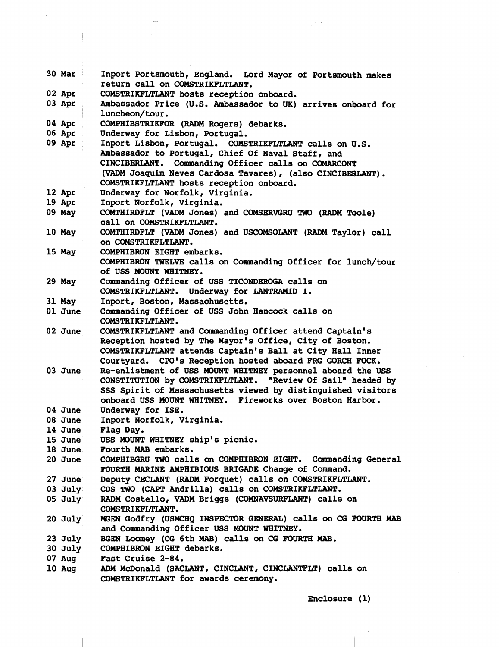| 30 Mar    | Inport Portsmouth, England. Lord Mayor of Portsmouth makes<br>return call on COMSTRIKFLTLANT. |  |  |  |
|-----------|-----------------------------------------------------------------------------------------------|--|--|--|
| 02 Apr    | COMSTRIKFLTLANT hosts reception onboard.                                                      |  |  |  |
| 03 Apr    | Ambassador Price (U.S. Ambassador to UK) arrives onboard for                                  |  |  |  |
|           | luncheon/tour.                                                                                |  |  |  |
| 04 Apr    | COMPHIBSTRIKFOR (RADM Rogers) debarks.                                                        |  |  |  |
| 06 Apr    | Underway for Lisbon, Portugal.                                                                |  |  |  |
| 09 Apr    | Inport Lisbon, Portugal. COMSTRIKFLTLANT calls on U.S.                                        |  |  |  |
|           | Ambassador to Portugal, Chief Of Naval Staff, and                                             |  |  |  |
|           |                                                                                               |  |  |  |
|           | CINCIBERLANT. Commanding Officer calls on COMARCONT                                           |  |  |  |
|           | (VADM Joaquim Neves Cardosa Tavares), (also CINCIBERLANT).                                    |  |  |  |
|           | COMSTRIKFLTLANT hosts reception onboard.                                                      |  |  |  |
| 12 Apr    | Underway for Norfolk, Virginia.                                                               |  |  |  |
| 19 Apr    | Inport Norfolk, Virginia.                                                                     |  |  |  |
| 09 May    | COMTHIRDFLT (VADM Jones) and COMSERVGRU TWO (RADM TOole)                                      |  |  |  |
|           | call on COMSTRIKFLTLANT.                                                                      |  |  |  |
| 10 May    | COMTHIRDFLT (VADM Jones) and USCOMSOLANT (RADM Taylor) call                                   |  |  |  |
|           | ON COMSTRIKFLTLANT.                                                                           |  |  |  |
| 15 May    | COMPHIBRON EIGHT embarks.                                                                     |  |  |  |
|           | COMPHIBRON TWELVE calls on Commanding Officer for lunch/tour                                  |  |  |  |
|           | of USS MOUNT WHITNEY.                                                                         |  |  |  |
| 29 May    | Commanding Officer of USS TICONDEROGA calls on                                                |  |  |  |
|           | COMSTRIKFLTLANT. Underway for LANTRAMID I.                                                    |  |  |  |
| 31 May    | Inport, Boston, Massachusetts.                                                                |  |  |  |
| 01 June   | Commanding Officer of USS John Hancock calls on                                               |  |  |  |
|           | COMSTRIKFLTLANT.                                                                              |  |  |  |
| 02 June   | COMSTRIKFLTLANT and Commanding Officer attend Captain's                                       |  |  |  |
|           | Reception hosted by The Mayor's Office, City of Boston.                                       |  |  |  |
|           | COMSTRIKFLTLANT attends Captain's Ball at City Hall Inner                                     |  |  |  |
|           | Courtyard. CPO's Reception hosted aboard FRG GORCH FOCK.                                      |  |  |  |
| 03 June   | Re-enlistment of USS MOUNT WHITNEY personnel aboard the USS                                   |  |  |  |
|           | CONSTITUTION by COMSTRIKFLTLANT. "Review Of Sail" headed by                                   |  |  |  |
|           | SSS Spirit of Massachusetts viewed by distinguished visitors                                  |  |  |  |
|           | onboard USS MOUNT WHITNEY. Fireworks over Boston Harbor.                                      |  |  |  |
| 04 June   | Underway for ISE.                                                                             |  |  |  |
| 08 June   | Inport Norfolk, Virginia.                                                                     |  |  |  |
| 14 June   | Flag Day.                                                                                     |  |  |  |
| 15 June   | USS MOUNT WHITNEY ship's picnic.                                                              |  |  |  |
| 18 June   | Fourth MAB embarks.                                                                           |  |  |  |
| 20 June   | COMPHIBGRU TWO calls on COMPHIBRON EIGHT. Commanding General                                  |  |  |  |
|           | FOURTH MARINE AMPHIBIOUS BRIGADE Change of Command.                                           |  |  |  |
| 27 June   | Deputy CECLANT (RADM Forquet) calls on COMSTRIKFLTLANT.                                       |  |  |  |
| $03$ July | CDS TWO (CAPT Andrilla) calls on COMSTRIKFLTLANT.                                             |  |  |  |
| $05$ July | RADM Costello, VADM Briggs (COMNAVSURFLANT) calls on                                          |  |  |  |
|           | COMSTRIKFLTLANT.                                                                              |  |  |  |
| 20 July   | MGEN Godfry (USMCHQ INSPECTOR GENERAL) calls on CG FOURTH MAB                                 |  |  |  |
|           | and Commanding Officer USS MOUNT WHITNEY.                                                     |  |  |  |
| $23$ July | BGEN LOOMEY (CG 6th MAB) calls on CG FOURTH MAB.                                              |  |  |  |
| $30$ July | COMPHIBRON EIGHT debarks.                                                                     |  |  |  |
| 07 Aug    | Fast Cruise 2-84.                                                                             |  |  |  |
| 10 Aug    | ADM McDonald (SACLANT, CINCLANT, CINCLANTFLT) calls on                                        |  |  |  |
|           | COMSTRIKFLTLANT for awards ceremony.                                                          |  |  |  |

 $\sim 10^{-12}$ 

**Enclosure (1)** 

 $\sqrt{ }$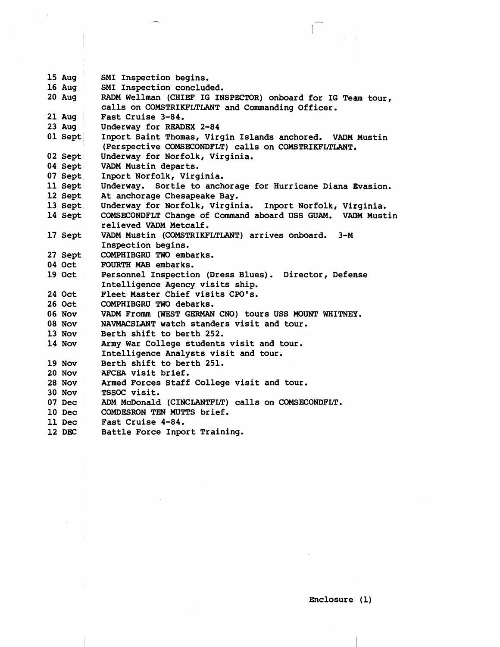```
15 Aug 
16 Aug 
20 Aug 
21 Aug 
23 Aug 
01 Sept 
02 Sept 
04 Sept 
07 Sept 
11 Sept 
12 Sept 
13 Sept 
14 Sept 
17 Sept 
27 Sept 
04 Oct 
19 Oct 
24 Oct 
26 Oct 
06 Nov 
08 Nov 
13 Nov 
14 Nov 
19 Nov 
20 NOV 
28 Nov 
30 Nov 
07 Dec 
10 Dec 
11 Dec 
12 DEC
           SMI Inspection begins. 
           SMI Inspection concluded. 
           RADM Wellman (CHIEF IG INSPECTOR) onboard for IG Team tour, 
           calls on COMSTRIKFLTLANT and Commanding Officer. 
           Fast Cruise 3-84. 
           Underway for READEX 2-84 
           Inport Saint Thomas, Virgin Islands anchored. VADM Mustin 
            (Perspective COMSECONDFLT) calls on COMSTRIKFLTLANT, 
           Underway for Norfolk, Virginia. 
           VADM Mustin departs. 
           Inport Norfolk, Virginia. 
           Underway. Sortie to anchorage for Hurricane Diana Gvasion. 
           At anchorage Chesapeake Bay. 
           Underway for Norfolk, Virginia. Inport Norfolk, Viqginia. 
           COMSECONDFLT Change of Command aboard USS GUAM. VAOM Mustin 
           relieved VADM Metcalf. 
           VADM Mustin (COMSTRIKFLTLANT) arrives onboard. 3-M 
           Inspection begins. 
           COMPHIBGRU TWO embarks. 
           FOURTH MAB embarks. 
           Personnel Inspection (Dress Blues). Director, Defense 
           Intelligence Agency visits ship. 
           Fleet Master Chief visits CPO's. 
           COMPHIBGRU TWO debarks. 
           VADM From (WEST GERMAN CNO) tours USS MOUNT WHITNEY. 
           NAVMACSLANT watch standers visit and tour. 
           Berth shift to berth 252. 
           Army War College students visit and tour. 
           Intelligence Analysts visit and tour. 
           Berth shift to berth 251. 
           AFCEA visit brief. 
           Armed Forces Staff College visit and tour. 
           TSSOC visit. 
           ADM McDonald (CINCLANTFLT) calls on COMSECONDFLT. 
           COMDESRON TEN MUTTS brief. 
           Fast Cruise 4-84. 
           Battle Force Inport Training.
```
**Enclosure (1)**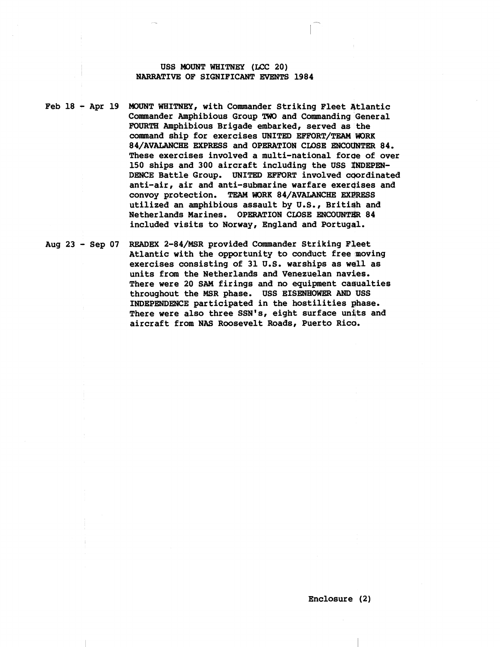#### **USS MOUNT WHITNEY (LCC 20) NARRATIVE OF SIGNIFICANT EVENTS 1984**

**Feb 18** - **Apr 19 MOUNT WHITNEY, with Commander Striking Fleet Atlantic Commander Amphibious Group** 'IWO **and Commanding General FOURTH Amphibious Brigade embarked, served as the command ship for exercises UNITED EFFORT/TEAM WORK**  84/AVALANCHE EXPRESS and OPERATION CLOSE ENCOUNTER 84. **These exercises involved a multi-national forqe of over 150 ships and 300 aircraft including the USS INDEPEN-DENCE Battle Group. UNITED EFFORT involved cqordinated anti-air, air and anti-submarine warfare exercjises and**  convoy protection. TEAM WORK 84/AVALANCHE EXPRESS **utilized an amphibious assault by U.S., Britiqh and Netherlands Marines. OPERATION CLOSE ENCOUNTER 84 included visits to Norway, England and Portugal.** 

**Aug 23** - **Sep 07 READEX 2-84/MSR provided Commander Striking Fleet Atlantic with the opportunity to conduct free moving exercises consisting of 31 U.S. warships as wdll as units fram the Netherlands and Venezuelan navjes. There were 20 SAM firings and no equipment caqualties throughout the MSR phase. USS EISENHOWER AND USS INDEPENDENCE participated in the hostilities ghase.**  There were also three SSN's, eight surface units and **aircraft from NAS Rwsevelt Roads, Puerto Rica.**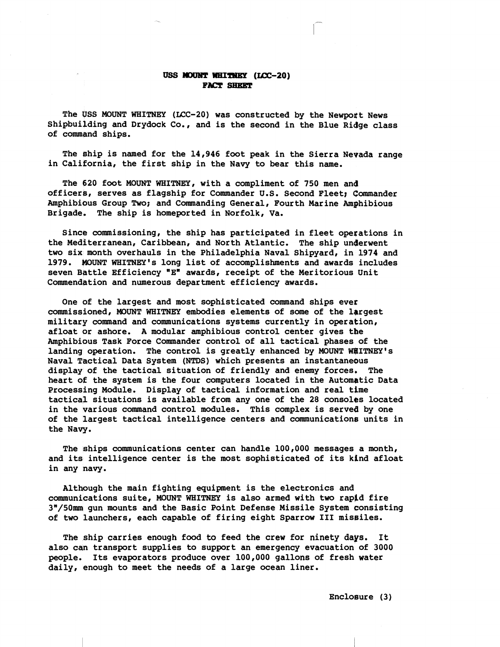#### USS MOUNT WHITNEY (LCC-20) **FACT SHEET**

**The USS MOUNT WHITNEY (LCC-20) was constructed by the Newpoft News Shipbuilding and Drydock Co., and is the second in the Blue Ridge class of command ships.** 

**The #hip is named for the 14,946 foot peak in the Sierra Nevada range in California, the first ship in the Navy to bear this name.** 

**The 620 foot MOUNT WHITNEY, with a compliment of 750 men and officerb, serves as flagship for Commander U.S. Second Fleet; Commander Amphibious Group Two; and Commanding General, Fourth Marine Amphibious Brigade. The ship is homeported in Norfolk, Va.** 

**Since commissioning, the ship has participated in fleet operations in the Mediterranean, Caribbean, and North Atlantic. The ship unQerwent two six month overhauls in the Philadelphia Naval Shipyard, in 1974 and 1979. WUNT WHITNEY's long list of accomplishments and awards includes seven Bbttle Efficiency "Ew awards, receipt of the Meritorious Unit**  Commendation and numerous department efficiency awards.

**One of the largest and most sophisticated command ships ever commissioned, MOUNT WHITNEY embodies elements of some of the lbrgest military command and communications systems currently in operation, afloat or ashore. A modular amphibious control center gives the Amphibious Task Force Commander control of all tactical phases of the**  landing operation. The control is greatly enhanced by MOUNT WEITNEY's **Naval Tactical Data System (NTDS) which presents an instantaneous display of the tactical situation of friendly and enemy forces. The heart OF the system is the four computers located in the Automqtic Data**  Processing Module. Display of tactical information and real time **tactical situations is available from any one of the 28 consoles located in the various command control modules. This complex is served by one of the largest tactical intelligence centers and communications units in the Naw.** 

**The ships communications center can handle 100,000 messages a month, and its intelligence center is the most sophisticated of its kind afloat in any navy.** 

**Although the main fighting equipment is the electronics and communications suite, MOUNT WHITNEY is also armed with two rappd fire 3"/50mm gun mounts and the Basic Point Defense Missile System consisting of two launchers, each capable of firing eight Sparrow I11 missiles.** 

**The ship carries enough food to feed the crew for ninety days. It also can transport supplies to support an emergency evacuation of 3000 people. Its evaporators produce over 100,000 gallons of fresh water daily, enough to meet the needs of a large ocean liner.** 

**Encloeure (3)**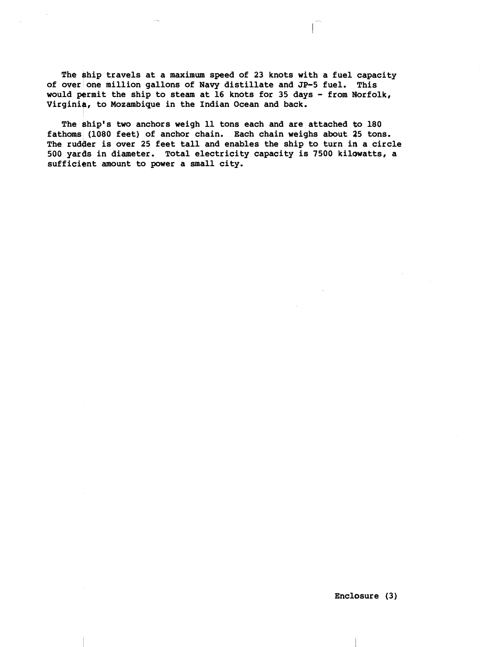**The +hip travels at a maximum speed of 23 knots with a fuel capacity of over one million gallons of Navy distillate and JP-5 fuel. This would permit the ship to steam at 16 knots for 35 days** - **from Norfolk, Virginig, to Mozambique in the Indian Ocean and back.** 

The ship's two anchors weigh 11 tons each and are attached to 180 **fathoms (1080 feet) of anchor chain. Each chain weighs about 25 tons. The rudqer is over 25 feet tall and enables the ship to turn in a circle 500 yargs in diameter. Total electricity capacity is 7500 kilowatts, a**  sufficient amount to power a small city.